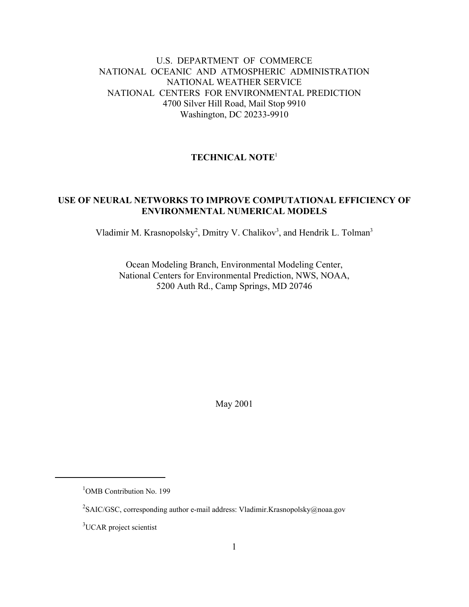# U.S. DEPARTMENT OF COMMERCE NATIONAL OCEANIC AND ATMOSPHERIC ADMINISTRATION NATIONAL WEATHER SERVICE NATIONAL CENTERS FOR ENVIRONMENTAL PREDICTION 4700 Silver Hill Road, Mail Stop 9910 Washington, DC 20233-9910

# **TECHNICAL NOTE**<sup>1</sup>

# **USE OF NEURAL NETWORKS TO IMPROVE COMPUTATIONAL EFFICIENCY OF ENVIRONMENTAL NUMERICAL MODELS**

Vladimir M. Krasnopolsky<sup>2</sup>, Dmitry V. Chalikov<sup>3</sup>, and Hendrik L. Tolman<sup>3</sup>

 Ocean Modeling Branch, Environmental Modeling Center, National Centers for Environmental Prediction, NWS, NOAA, 5200 Auth Rd., Camp Springs, MD 20746

May 2001

<sup>&</sup>lt;sup>1</sup>OMB Contribution No. 199

<sup>&</sup>lt;sup>2</sup>SAIC/GSC, corresponding author e-mail address: Vladimir.Krasnopolsky@noaa.gov

<sup>&</sup>lt;sup>3</sup>UCAR project scientist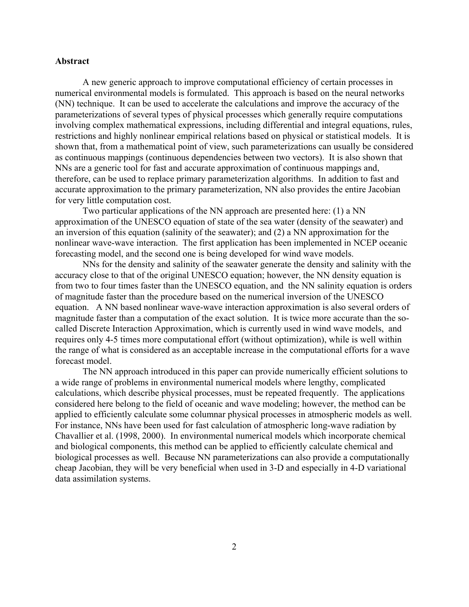#### **Abstract**

A new generic approach to improve computational efficiency of certain processes in numerical environmental models is formulated. This approach is based on the neural networks (NN) technique. It can be used to accelerate the calculations and improve the accuracy of the parameterizations of several types of physical processes which generally require computations involving complex mathematical expressions, including differential and integral equations, rules, restrictions and highly nonlinear empirical relations based on physical or statistical models. It is shown that, from a mathematical point of view, such parameterizations can usually be considered as continuous mappings (continuous dependencies between two vectors). It is also shown that NNs are a generic tool for fast and accurate approximation of continuous mappings and, therefore, can be used to replace primary parameterization algorithms. In addition to fast and accurate approximation to the primary parameterization, NN also provides the entire Jacobian for very little computation cost.

Two particular applications of the NN approach are presented here: (1) a NN approximation of the UNESCO equation of state of the sea water (density of the seawater) and an inversion of this equation (salinity of the seawater); and (2) a NN approximation for the nonlinear wave-wave interaction. The first application has been implemented in NCEP oceanic forecasting model, and the second one is being developed for wind wave models.

NNs for the density and salinity of the seawater generate the density and salinity with the accuracy close to that of the original UNESCO equation; however, the NN density equation is from two to four times faster than the UNESCO equation, and the NN salinity equation is orders of magnitude faster than the procedure based on the numerical inversion of the UNESCO equation. A NN based nonlinear wave-wave interaction approximation is also several orders of magnitude faster than a computation of the exact solution. It is twice more accurate than the socalled Discrete Interaction Approximation, which is currently used in wind wave models, and requires only 4-5 times more computational effort (without optimization), while is well within the range of what is considered as an acceptable increase in the computational efforts for a wave forecast model.

The NN approach introduced in this paper can provide numerically efficient solutions to a wide range of problems in environmental numerical models where lengthy, complicated calculations, which describe physical processes, must be repeated frequently. The applications considered here belong to the field of oceanic and wave modeling; however, the method can be applied to efficiently calculate some columnar physical processes in atmospheric models as well. For instance, NNs have been used for fast calculation of atmospheric long-wave radiation by Chavallier et al. (1998, 2000). In environmental numerical models which incorporate chemical and biological components, this method can be applied to efficiently calculate chemical and biological processes as well. Because NN parameterizations can also provide a computationally cheap Jacobian, they will be very beneficial when used in 3-D and especially in 4-D variational data assimilation systems.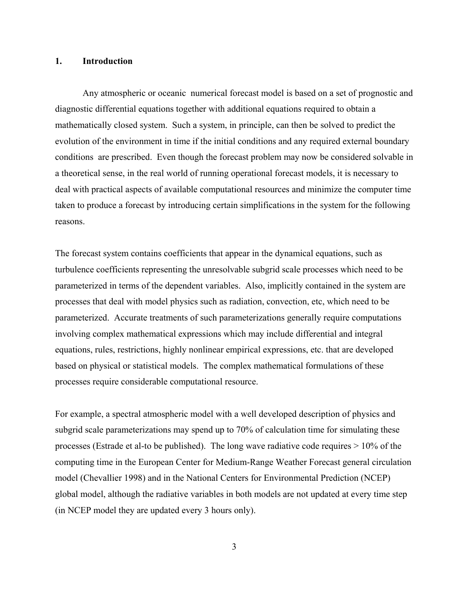## **1. Introduction**

Any atmospheric or oceanic numerical forecast model is based on a set of prognostic and diagnostic differential equations together with additional equations required to obtain a mathematically closed system. Such a system, in principle, can then be solved to predict the evolution of the environment in time if the initial conditions and any required external boundary conditions are prescribed. Even though the forecast problem may now be considered solvable in a theoretical sense, in the real world of running operational forecast models, it is necessary to deal with practical aspects of available computational resources and minimize the computer time taken to produce a forecast by introducing certain simplifications in the system for the following reasons.

The forecast system contains coefficients that appear in the dynamical equations, such as turbulence coefficients representing the unresolvable subgrid scale processes which need to be parameterized in terms of the dependent variables. Also, implicitly contained in the system are processes that deal with model physics such as radiation, convection, etc, which need to be parameterized. Accurate treatments of such parameterizations generally require computations involving complex mathematical expressions which may include differential and integral equations, rules, restrictions, highly nonlinear empirical expressions, etc. that are developed based on physical or statistical models. The complex mathematical formulations of these processes require considerable computational resource.

For example, a spectral atmospheric model with a well developed description of physics and subgrid scale parameterizations may spend up to 70% of calculation time for simulating these processes (Estrade et al-to be published). The long wave radiative code requires > 10% of the computing time in the European Center for Medium-Range Weather Forecast general circulation model (Chevallier 1998) and in the National Centers for Environmental Prediction (NCEP) global model, although the radiative variables in both models are not updated at every time step (in NCEP model they are updated every 3 hours only).

3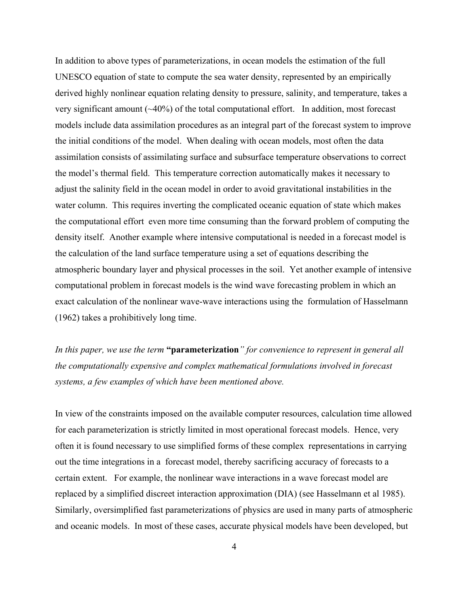In addition to above types of parameterizations, in ocean models the estimation of the full UNESCO equation of state to compute the sea water density, represented by an empirically derived highly nonlinear equation relating density to pressure, salinity, and temperature, takes a very significant amount  $(\sim 40\%)$  of the total computational effort. In addition, most forecast models include data assimilation procedures as an integral part of the forecast system to improve the initial conditions of the model. When dealing with ocean models, most often the data assimilation consists of assimilating surface and subsurface temperature observations to correct the model's thermal field. This temperature correction automatically makes it necessary to adjust the salinity field in the ocean model in order to avoid gravitational instabilities in the water column. This requires inverting the complicated oceanic equation of state which makes the computational effort even more time consuming than the forward problem of computing the density itself. Another example where intensive computational is needed in a forecast model is the calculation of the land surface temperature using a set of equations describing the atmospheric boundary layer and physical processes in the soil. Yet another example of intensive computational problem in forecast models is the wind wave forecasting problem in which an exact calculation of the nonlinear wave-wave interactions using the formulation of Hasselmann (1962) takes a prohibitively long time.

*In this paper, we use the term* **"parameterization***" for convenience to represent in general all the computationally expensive and complex mathematical formulations involved in forecast systems, a few examples of which have been mentioned above.*

In view of the constraints imposed on the available computer resources, calculation time allowed for each parameterization is strictly limited in most operational forecast models. Hence, very often it is found necessary to use simplified forms of these complex representations in carrying out the time integrations in a forecast model, thereby sacrificing accuracy of forecasts to a certain extent. For example, the nonlinear wave interactions in a wave forecast model are replaced by a simplified discreet interaction approximation (DIA) (see Hasselmann et al 1985). Similarly, oversimplified fast parameterizations of physics are used in many parts of atmospheric and oceanic models. In most of these cases, accurate physical models have been developed, but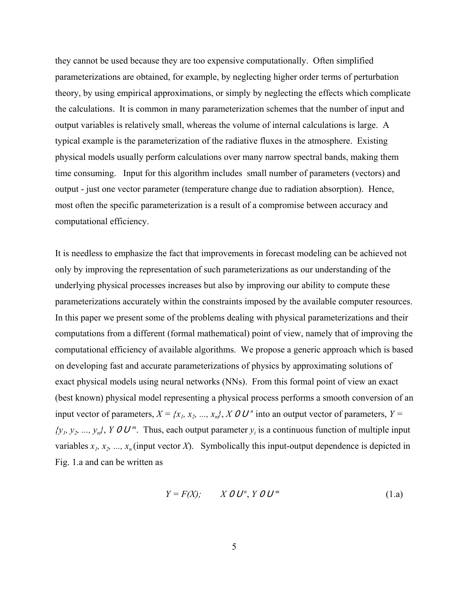they cannot be used because they are too expensive computationally. Often simplified parameterizations are obtained, for example, by neglecting higher order terms of perturbation theory, by using empirical approximations, or simply by neglecting the effects which complicate the calculations. It is common in many parameterization schemes that the number of input and output variables is relatively small, whereas the volume of internal calculations is large. A typical example is the parameterization of the radiative fluxes in the atmosphere. Existing physical models usually perform calculations over many narrow spectral bands, making them time consuming. Input for this algorithm includes small number of parameters (vectors) and output - just one vector parameter (temperature change due to radiation absorption). Hence, most often the specific parameterization is a result of a compromise between accuracy and computational efficiency.

It is needless to emphasize the fact that improvements in forecast modeling can be achieved not only by improving the representation of such parameterizations as our understanding of the underlying physical processes increases but also by improving our ability to compute these parameterizations accurately within the constraints imposed by the available computer resources. In this paper we present some of the problems dealing with physical parameterizations and their computations from a different (formal mathematical) point of view, namely that of improving the computational efficiency of available algorithms. We propose a generic approach which is based on developing fast and accurate parameterizations of physics by approximating solutions of exact physical models using neural networks (NNs). From this formal point of view an exact (best known) physical model representing a physical process performs a smooth conversion of an input vector of parameters,  $X = \{x_1, x_2, ..., x_n\}$ ,  $X \cdot \partial U$ <sup>n</sup> into an output vector of parameters,  $Y =$  $\{y_1, y_2, ..., y_n\}$ , *Y OU*<sup>*m*</sup>. Thus, each output parameter  $y_i$  is a continuous function of multiple input variables  $x_1, x_2, ..., x_n$  (input vector *X*). Symbolically this input-output dependence is depicted in Fig. 1.a and can be written as

$$
Y = F(X); \qquad X \, O \, U^n, \, Y \, O \, U^m \tag{1.a}
$$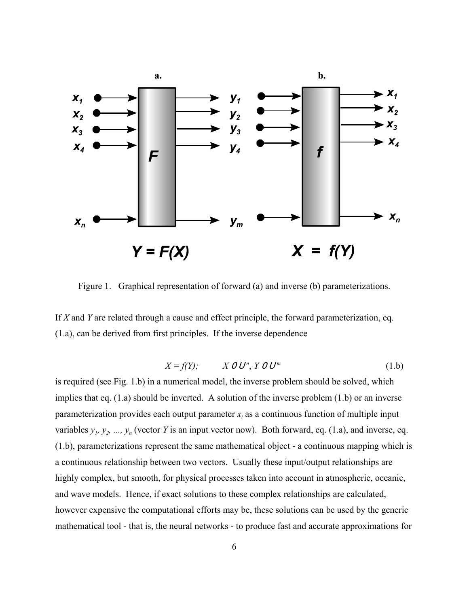

Figure 1. Graphical representation of forward (a) and inverse (b) parameterizations.

If *X* and *Y* are related through a cause and effect principle, the forward parameterization, eq. (1.a), can be derived from first principles. If the inverse dependence

$$
X = f(Y); \qquad X \, O \, U^n, \, Y \, O \, U^m \tag{1.b}
$$

is required (see Fig. 1.b) in a numerical model, the inverse problem should be solved, which implies that eq. (1.a) should be inverted. A solution of the inverse problem (1.b) or an inverse parameterization provides each output parameter  $x_i$  as a continuous function of multiple input variables  $y_1, y_2, ..., y_n$  (vector *Y* is an input vector now). Both forward, eq. (1.a), and inverse, eq. (1.b), parameterizations represent the same mathematical object - a continuous mapping which is a continuous relationship between two vectors. Usually these input/output relationships are highly complex, but smooth, for physical processes taken into account in atmospheric, oceanic, and wave models. Hence, if exact solutions to these complex relationships are calculated, however expensive the computational efforts may be, these solutions can be used by the generic mathematical tool - that is, the neural networks - to produce fast and accurate approximations for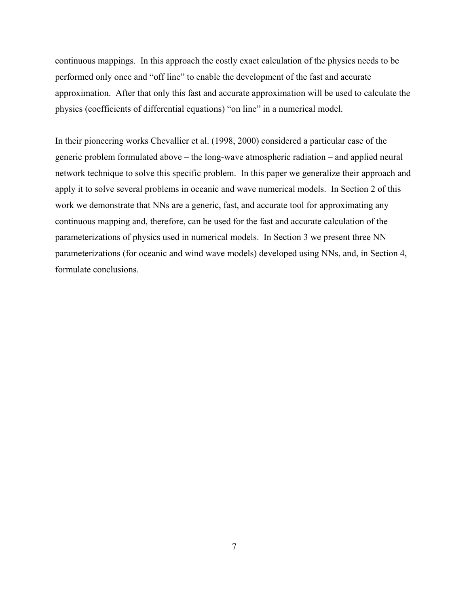continuous mappings. In this approach the costly exact calculation of the physics needs to be performed only once and "off line" to enable the development of the fast and accurate approximation. After that only this fast and accurate approximation will be used to calculate the physics (coefficients of differential equations) "on line" in a numerical model.

In their pioneering works Chevallier et al. (1998, 2000) considered a particular case of the generic problem formulated above – the long-wave atmospheric radiation – and applied neural network technique to solve this specific problem. In this paper we generalize their approach and apply it to solve several problems in oceanic and wave numerical models. In Section 2 of this work we demonstrate that NNs are a generic, fast, and accurate tool for approximating any continuous mapping and, therefore, can be used for the fast and accurate calculation of the parameterizations of physics used in numerical models. In Section 3 we present three NN parameterizations (for oceanic and wind wave models) developed using NNs, and, in Section 4, formulate conclusions.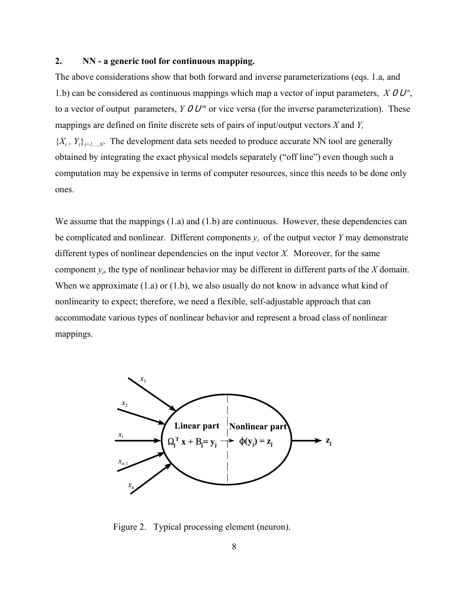## **2. NN - a generic tool for continuous mapping.**

The above considerations show that both forward and inverse parameterizations (eqs. 1.a, and 1.b) can be considered as continuous mappings which map a vector of input parameters,  $X O U^n$ , to a vector of output parameters,  $Y O U^m$  or vice versa (for the inverse parameterization). These mappings are defined on finite discrete sets of pairs of input/output vectors *X* and *Y,*  $\{X_i, Y_i\}_{i=1,\dots,N}$ . The development data sets needed to produce accurate NN tool are generally obtained by integrating the exact physical models separately ("off line") even though such a computation may be expensive in terms of computer resources, since this needs to be done only ones.

We assume that the mappings (1.a) and (1.b) are continuous. However, these dependencies can be complicated and nonlinear. Different components  $y_i$  of the output vector *Y* may demonstrate different types of nonlinear dependencies on the input vector *X.* Moreover, for the same component  $y_i$ , the type of nonlinear behavior may be different in different parts of the  $X$  domain. When we approximate (1.a) or (1.b), we also usually do not know in advance what kind of nonlinearity to expect; therefore, we need a flexible, self-adjustable approach that can accommodate various types of nonlinear behavior and represent a broad class of nonlinear mappings.



Figure 2. Typical processing element (neuron).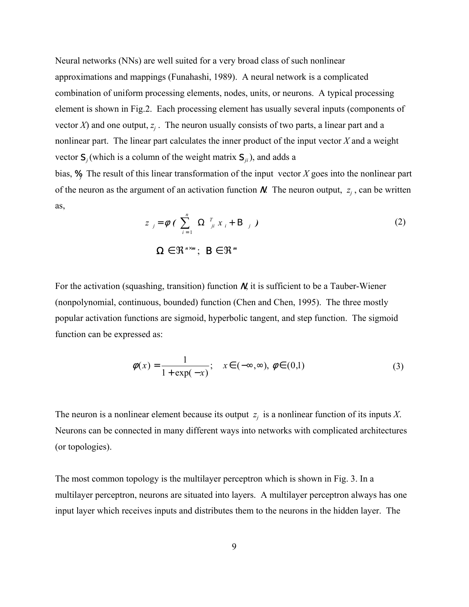Neural networks (NNs) are well suited for a very broad class of such nonlinear approximations and mappings (Funahashi, 1989). A neural network is a complicated combination of uniform processing elements, nodes, units, or neurons. A typical processing element is shown in Fig.2. Each processing element has usually several inputs (components of vector *X*) and one output,  $z_j$ . The neuron usually consists of two parts, a linear part and a nonlinear part. The linear part calculates the inner product of the input vector *X* and a weight vector  $S_i$  (which is a column of the weight matrix  $S_{ij}$ ), and adds a

bias, %*<sup>j</sup>* The result of this linear transformation of the input vector *X* goes into the nonlinear part of the neuron as the argument of an activation function  $N$ . The neuron output,  $z_j$ , can be written as,

$$
z_{j} = \phi \left( \sum_{i=1}^{n} \Omega_{ji}^{T} x_{i} + B_{j} \right)
$$
  

$$
\Omega \in \mathfrak{R}^{n \times m}; \ \mathbf{B} \in \mathfrak{R}^{m}
$$
 (2)

For the activation (squashing, transition) function  $M$ , it is sufficient to be a Tauber-Wiener (nonpolynomial, continuous, bounded) function (Chen and Chen, 1995). The three mostly popular activation functions are sigmoid, hyperbolic tangent, and step function. The sigmoid function can be expressed as:

$$
\phi(x) = \frac{1}{1 + \exp(-x)}; \quad x \in (-\infty, \infty), \ \phi \in (0,1)
$$
 (3)

The neuron is a nonlinear element because its output  $z_j$  is a nonlinear function of its inputs *X*. Neurons can be connected in many different ways into networks with complicated architectures (or topologies).

The most common topology is the multilayer perceptron which is shown in Fig. 3. In a multilayer perceptron, neurons are situated into layers. A multilayer perceptron always has one input layer which receives inputs and distributes them to the neurons in the hidden layer. The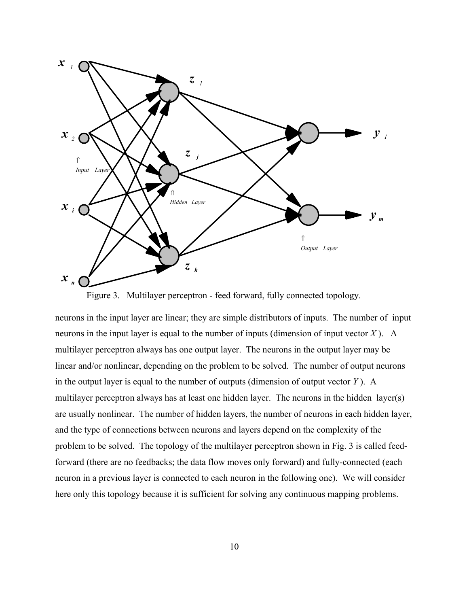

Figure 3. Multilayer perceptron - feed forward, fully connected topology.

neurons in the input layer are linear; they are simple distributors of inputs. The number of input neurons in the input layer is equal to the number of inputs (dimension of input vector *X* ). A multilayer perceptron always has one output layer. The neurons in the output layer may be linear and/or nonlinear, depending on the problem to be solved. The number of output neurons in the output layer is equal to the number of outputs (dimension of output vector *Y* ). A multilayer perceptron always has at least one hidden layer. The neurons in the hidden layer(s) are usually nonlinear. The number of hidden layers, the number of neurons in each hidden layer, and the type of connections between neurons and layers depend on the complexity of the problem to be solved. The topology of the multilayer perceptron shown in Fig. 3 is called feedforward (there are no feedbacks; the data flow moves only forward) and fully-connected (each neuron in a previous layer is connected to each neuron in the following one). We will consider here only this topology because it is sufficient for solving any continuous mapping problems.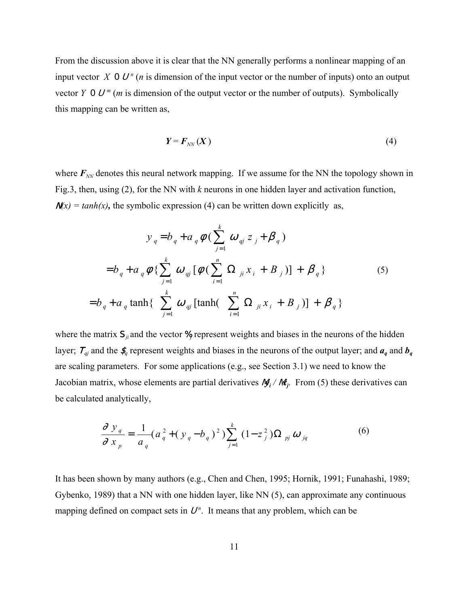From the discussion above it is clear that the NN generally performs a nonlinear mapping of an input vector  $X \bigcirc U^n$  (*n* is dimension of the input vector or the number of inputs) onto an output vector *Y* O  $U^m$  (*m* is dimension of the output vector or the number of outputs). Symbolically this mapping can be written as,

$$
Y = F_{NN}(X) \tag{4}
$$

where  $F_{NN}$  denotes this neural network mapping. If we assume for the NN the topology shown in Fig.3, then, using (2), for the NN with *k* neurons in one hidden layer and activation function,  $N(x) = \tanh(x)$ , the symbolic expression (4) can be written down explicitly as,

$$
y_q = b_q + a_q \phi \left( \sum_{j=1}^k \omega_{qj} z_j + \beta_q \right)
$$
  
=  $b_q + a_q \phi \left\{ \sum_{j=1}^k \omega_{qj} [\phi \left( \sum_{i=1}^n \Omega_{ji} x_i + B_j \right)] + \beta_q \right\}$  (5)  
=  $b_q + a_q \tanh \left\{ \sum_{j=1}^k \omega_{qj} [\tanh \left( \sum_{i=1}^n \Omega_{ji} x_i + B_j \right)] + \beta_q \right\}$ 

where the matrix  $S_{ji}$  and the vector  $\frac{1}{2}$  represent weights and biases in the neurons of the hidden layer;  $T_q$  and the  $\mathcal{F}_q$  represent weights and biases in the neurons of the output layer; and  $a_q$  and  $b_q$ are scaling parameters. For some applications (e.g., see Section 3.1) we need to know the Jacobian matrix, whose elements are partial derivatives  $\mathcal{M}_i / \mathcal{M}_j$ . From (5) these derivatives can be calculated analytically,

$$
\frac{\partial y_q}{\partial x_p} = \frac{1}{a_q} (a_q^2 + (y_q - b_q)^2) \sum_{j=1}^k (1 - z_j^2) \Omega_{pj} \omega_{jq}
$$
 (6)

It has been shown by many authors (e.g., Chen and Chen, 1995; Hornik, 1991; Funahashi, 1989; Gybenko, 1989) that a NN with one hidden layer, like NN (5), can approximate any continuous mapping defined on compact sets in  $U<sup>n</sup>$ . It means that any problem, which can be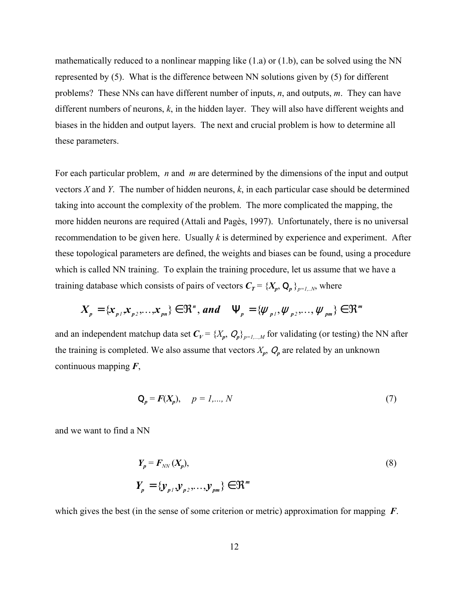mathematically reduced to a nonlinear mapping like  $(1.a)$  or  $(1.b)$ , can be solved using the NN represented by (5). What is the difference between NN solutions given by (5) for different problems? These NNs can have different number of inputs, *n*, and outputs, *m*. They can have different numbers of neurons, *k*, in the hidden layer. They will also have different weights and biases in the hidden and output layers. The next and crucial problem is how to determine all these parameters.

For each particular problem, *n* and *m* are determined by the dimensions of the input and output vectors *X* and *Y*. The number of hidden neurons, *k*, in each particular case should be determined taking into account the complexity of the problem. The more complicated the mapping, the more hidden neurons are required (Attali and Pagès, 1997). Unfortunately, there is no universal recommendation to be given here. Usually *k* is determined by experience and experiment. After these topological parameters are defined, the weights and biases can be found, using a procedure which is called NN training. To explain the training procedure, let us assume that we have a training database which consists of pairs of vectors  $C_T = \{X_p, Q_p\}_{p=L,N}$ , where

$$
X_{p} = \{x_{p1}, x_{p2},..., x_{pn}\} \in \mathfrak{R}^{n}, and \quad \Psi_{p} = \{y_{p1}, y_{p2},..., y_{pn}\} \in \mathfrak{R}^{m}
$$

and an independent matchup data set  $C_V = \{X_p, Q_p\}_{p=1,\dots,M}$  for validating (or testing) the NN after the training is completed. We also assume that vectors  $X_p$ ,  $Q_p$  are related by an unknown continuous mapping *F*,

$$
\mathbf{Q}_p = \mathbf{F}(X_p), \quad p = 1, \dots, N \tag{7}
$$

and we want to find a NN

$$
Y_p = F_{NN}(X_p),
$$
  
\n
$$
Y_p = \{y_{p1}, y_{p2}, \dots, y_{pm}\} \in \mathfrak{R}^m
$$
 (8)

which gives the best (in the sense of some criterion or metric) approximation for mapping *F*.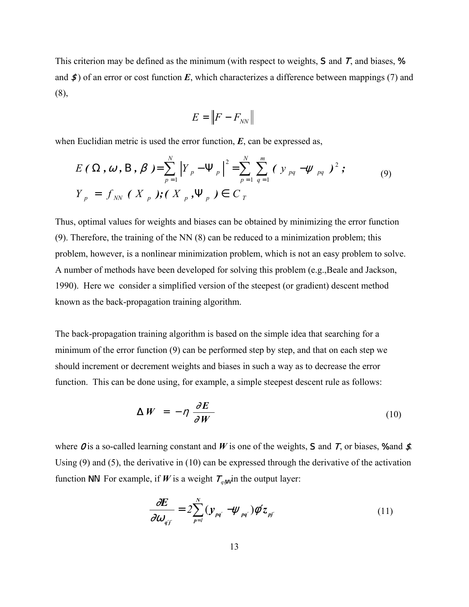This criterion may be defined as the minimum (with respect to weights,  $S$  and  $T$ , and biases,  $\%$ and  $\hat{\boldsymbol{\mathcal{S}}}$ ) of an error or cost function  $\boldsymbol{E}$ , which characterizes a difference between mappings (7) and (8),

$$
E=\left\|F-F_{NN}\right\|
$$

when Euclidian metric is used the error function, *E*, can be expressed as,

$$
E(\Omega, \omega, B, \beta) = \sum_{p=1}^{N} |Y_{p} - \Psi_{p}|^{2} = \sum_{p=1}^{N} \sum_{q=1}^{m} (y_{pq} - \psi_{pq})^{2};
$$
  
\n
$$
Y_{p} = f_{NN} (X_{p}); (X_{p}, \Psi_{p}) \in C_{T}
$$
 (9)

Thus, optimal values for weights and biases can be obtained by minimizing the error function (9). Therefore, the training of the NN (8) can be reduced to a minimization problem; this problem, however, is a nonlinear minimization problem, which is not an easy problem to solve. A number of methods have been developed for solving this problem (e.g.,Beale and Jackson, 1990). Here we consider a simplified version of the steepest (or gradient) descent method known as the back-propagation training algorithm.

The back-propagation training algorithm is based on the simple idea that searching for a minimum of the error function (9) can be performed step by step, and that on each step we should increment or decrement weights and biases in such a way as to decrease the error function. This can be done using, for example, a simple steepest descent rule as follows:

$$
\Delta W = - \eta \frac{\partial E}{\partial W} \tag{10}
$$

where O is a so-called learning constant and W is one of the weights, S and T, or biases, % and \$. Using (9) and (5), the derivative in (10) can be expressed through the derivative of the activation function NN For example, if *W* is a weight  $T_{q/M}$  in the output layer:

$$
\frac{\partial E}{\partial \omega_{q'j'}} = 2 \sum_{p=1}^{N} (\mathbf{y}_{pq'} - \psi_{pq'}) \phi' z_{pj'}
$$
 (11)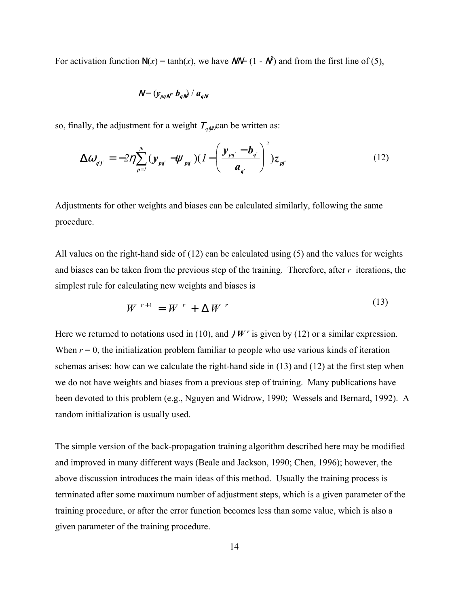For activation function  $N(x) = \tanh(x)$ , we have  $N/E \cdot (1 - N^2)$  and from the first line of (5),

$$
\mathbf{N} = (\mathbf{y}_{pqN} \mathbf{b}_{qN}) / a_{qN}
$$

so, finally, the adjustment for a weight  $T_{q/M}$  can be written as:

$$
\Delta \omega_{qj'} = -2\eta \sum_{p=1}^{N} (y_{pq'} - \psi_{pq'}) (1 - \left(\frac{y_{pq'} - b_{q'}}{a_{q'}}\right)^2) z_{pj'} \tag{12}
$$

Adjustments for other weights and biases can be calculated similarly, following the same procedure.

All values on the right-hand side of  $(12)$  can be calculated using  $(5)$  and the values for weights and biases can be taken from the previous step of the training. Therefore, after *r* iterations, the simplest rule for calculating new weights and biases is

$$
W^{r+1} = W^r + \Delta W^r \tag{13}
$$

Here we returned to notations used in (10), and  $\frac{\partial W}{\partial r}$  is given by (12) or a similar expression. When  $r = 0$ , the initialization problem familiar to people who use various kinds of iteration schemas arises: how can we calculate the right-hand side in (13) and (12) at the first step when we do not have weights and biases from a previous step of training. Many publications have been devoted to this problem (e.g., Nguyen and Widrow, 1990; Wessels and Bernard, 1992). A random initialization is usually used.

The simple version of the back-propagation training algorithm described here may be modified and improved in many different ways (Beale and Jackson, 1990; Chen, 1996); however, the above discussion introduces the main ideas of this method. Usually the training process is terminated after some maximum number of adjustment steps, which is a given parameter of the training procedure, or after the error function becomes less than some value, which is also a given parameter of the training procedure.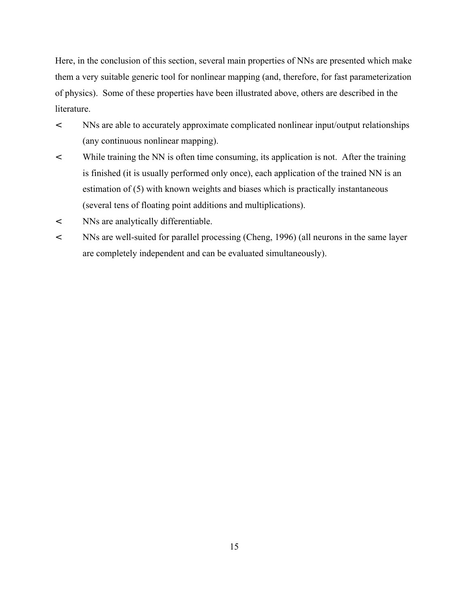Here, in the conclusion of this section, several main properties of NNs are presented which make them a very suitable generic tool for nonlinear mapping (and, therefore, for fast parameterization of physics). Some of these properties have been illustrated above, others are described in the literature.

- < NNs are able to accurately approximate complicated nonlinear input/output relationships (any continuous nonlinear mapping).
- < While training the NN is often time consuming, its application is not. After the training is finished (it is usually performed only once), each application of the trained NN is an estimation of (5) with known weights and biases which is practically instantaneous (several tens of floating point additions and multiplications).
- < NNs are analytically differentiable.
- < NNs are well-suited for parallel processing (Cheng, 1996) (all neurons in the same layer are completely independent and can be evaluated simultaneously).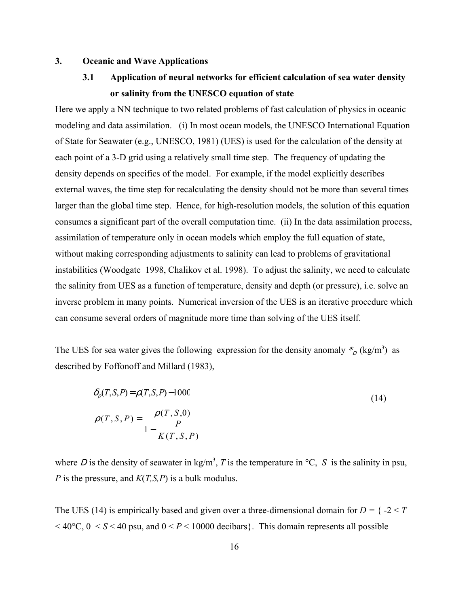### **3. Oceanic and Wave Applications**

**3.1 Application of neural networks for efficient calculation of sea water density or salinity from the UNESCO equation of state** 

Here we apply a NN technique to two related problems of fast calculation of physics in oceanic modeling and data assimilation. (i) In most ocean models, the UNESCO International Equation of State for Seawater (e.g., UNESCO, 1981) (UES) is used for the calculation of the density at each point of a 3-D grid using a relatively small time step. The frequency of updating the density depends on specifics of the model. For example, if the model explicitly describes external waves, the time step for recalculating the density should not be more than several times larger than the global time step. Hence, for high-resolution models, the solution of this equation consumes a significant part of the overall computation time. (ii) In the data assimilation process, assimilation of temperature only in ocean models which employ the full equation of state, without making corresponding adjustments to salinity can lead to problems of gravitational instabilities (Woodgate 1998, Chalikov et al. 1998). To adjust the salinity, we need to calculate the salinity from UES as a function of temperature, density and depth (or pressure), i.e. solve an inverse problem in many points. Numerical inversion of the UES is an iterative procedure which can consume several orders of magnitude more time than solving of the UES itself.

The UES for sea water gives the following expression for the density anomaly  $\tau_p$  (kg/m<sup>3</sup>) as described by Foffonoff and Millard (1983),

$$
\delta_{\rho}(T, S, P) = \rho(T, S, P) - 1000
$$
\n
$$
\rho(T, S, P) = \frac{\rho(T, S, 0)}{1 - \frac{P}{K(T, S, P)}}
$$
\n(14)

where D is the density of seawater in kg/m<sup>3</sup>, T is the temperature in  $\mathrm{C}$ , S is the salinity in psu, *P* is the pressure, and *K*(*T,S,P*) is a bulk modulus.

The UES (14) is empirically based and given over a three-dimensional domain for  $D = \{-2 < T\}$  $<$  40°C, 0  $<$  *S* < 40 psu, and 0  $<$  *P* < 10000 decibars}. This domain represents all possible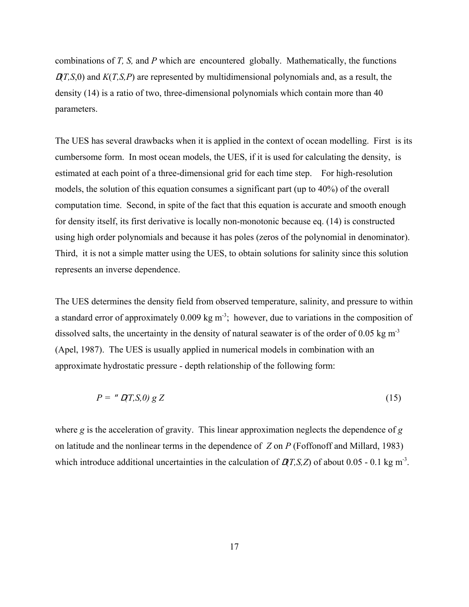combinations of *T, S,* and *P* which are encountered globally. Mathematically, the functions  $\Delta(T, S, 0)$  and  $K(T, S, P)$  are represented by multidimensional polynomials and, as a result, the density (14) is a ratio of two, three-dimensional polynomials which contain more than 40 parameters.

The UES has several drawbacks when it is applied in the context of ocean modelling. First is its cumbersome form. In most ocean models, the UES, if it is used for calculating the density, is estimated at each point of a three-dimensional grid for each time step. For high-resolution models, the solution of this equation consumes a significant part (up to 40%) of the overall computation time. Second, in spite of the fact that this equation is accurate and smooth enough for density itself, its first derivative is locally non-monotonic because eq. (14) is constructed using high order polynomials and because it has poles (zeros of the polynomial in denominator). Third, it is not a simple matter using the UES, to obtain solutions for salinity since this solution represents an inverse dependence.

The UES determines the density field from observed temperature, salinity, and pressure to within a standard error of approximately 0.009 kg m<sup>-3</sup>; however, due to variations in the composition of dissolved salts, the uncertainty in the density of natural seawater is of the order of 0.05 kg  $m<sup>3</sup>$ (Apel, 1987). The UES is usually applied in numerical models in combination with an approximate hydrostatic pressure - depth relationship of the following form:

$$
P = " \mathcal{Q}(T, S, 0) g Z \tag{15}
$$

where *g* is the acceleration of gravity. This linear approximation neglects the dependence of *g* on latitude and the nonlinear terms in the dependence of *Z* on *P* (Foffonoff and Millard, 1983) which introduce additional uncertainties in the calculation of  $\alpha(T,S,Z)$  of about 0.05 - 0.1 kg m<sup>-3</sup>.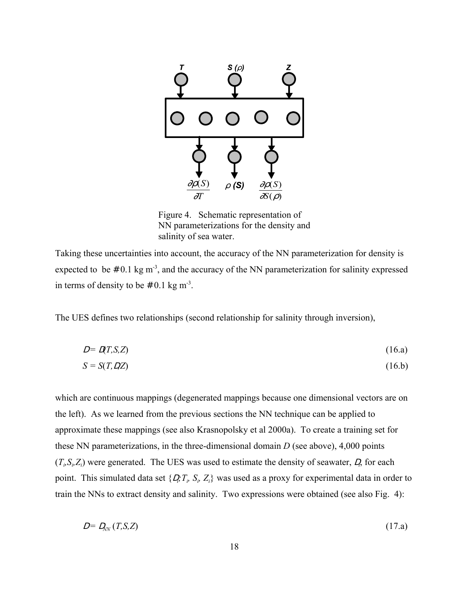

Figure 4. Schematic representation of NN parameterizations for the density and salinity of sea water.

Taking these uncertainties into account, the accuracy of the NN parameterization for density is expected to be  $\#$  0.1 kg m<sup>-3</sup>, and the accuracy of the NN parameterization for salinity expressed in terms of density to be  $\#$  0.1 kg m<sup>-3</sup>.

The UES defines two relationships (second relationship for salinity through inversion),

$$
D = D(T, S, Z) \tag{16.3}
$$

$$
S = S(T, \mathcal{Q}Z) \tag{16.b}
$$

which are continuous mappings (degenerated mappings because one dimensional vectors are on the left). As we learned from the previous sections the NN technique can be applied to approximate these mappings (see also Krasnopolsky et al 2000a). To create a training set for these NN parameterizations, in the three-dimensional domain *D* (see above), 4,000 points  $(T_i, S_i, Z_i)$  were generated. The UES was used to estimate the density of seawater,  $D_i$ , for each point. This simulated data set  $\{D_i, T_i, S_i, Z_i\}$  was used as a proxy for experimental data in order to train the NNs to extract density and salinity. Two expressions were obtained (see also Fig. 4):

$$
D = D_{NN}(T, S, Z) \tag{17.3}
$$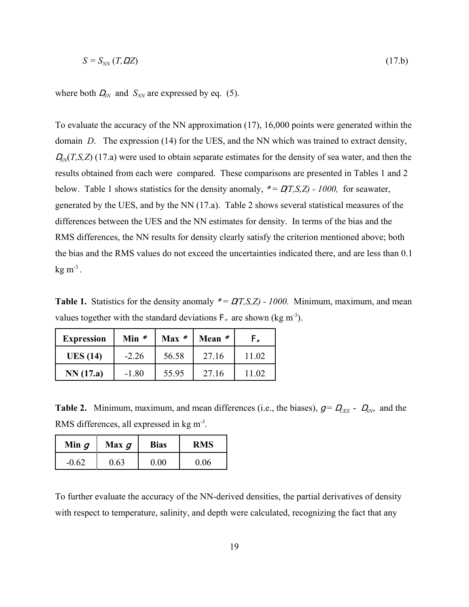$$
S = S_{NN}(T, QZ) \tag{17.6}
$$

where both  $D_{NN}$  and  $S_{NN}$  are expressed by eq. (5).

To evaluate the accuracy of the NN approximation (17), 16,000 points were generated within the domain *D*. The expression (14) for the UES, and the NN which was trained to extract density, <sup>D</sup>*NN*(*T,S,Z*) (17.a) were used to obtain separate estimates for the density of sea water, and then the results obtained from each were compared. These comparisons are presented in Tables 1 and 2 below. Table 1 shows statistics for the density anomaly,  $* = \mathcal{Q}(\mathcal{T}, \mathcal{S}, \mathcal{Z}) - 1000$ , for seawater, generated by the UES, and by the NN (17.a). Table 2 shows several statistical measures of the differences between the UES and the NN estimates for density. In terms of the bias and the RMS differences, the NN results for density clearly satisfy the criterion mentioned above; both the bias and the RMS values do not exceed the uncertainties indicated there, and are less than 0.1  $kg \, \text{m}^{-3}$ .

**Table 1.** Statistics for the density anomaly  $* = \mathcal{Q}(T, S, Z) - 1000$ . Minimum, maximum, and mean values together with the standard deviations  $F_*$  are shown (kg m<sup>-3</sup>).

| <b>Expression</b> | Min $*$ | $Max$ * | Mean * | F.    |
|-------------------|---------|---------|--------|-------|
| UES $(14)$        | $-2.26$ | 56.58   | 27.16  | 11 02 |
| NN(17.a)          | $-1.80$ | 55.95   | 27.16  | 11 02 |

**Table 2.** Minimum, maximum, and mean differences (i.e., the biases),  $g = D_{UES} - D_{NN}$ , and the RMS differences, all expressed in kg m<sup>-3</sup>.

| Min $q$ | Max $q$ | <b>Bias</b> | <b>RMS</b> |
|---------|---------|-------------|------------|
| $-0.62$ | 0.63    | 0.00        | 0.06       |

To further evaluate the accuracy of the NN-derived densities, the partial derivatives of density with respect to temperature, salinity, and depth were calculated, recognizing the fact that any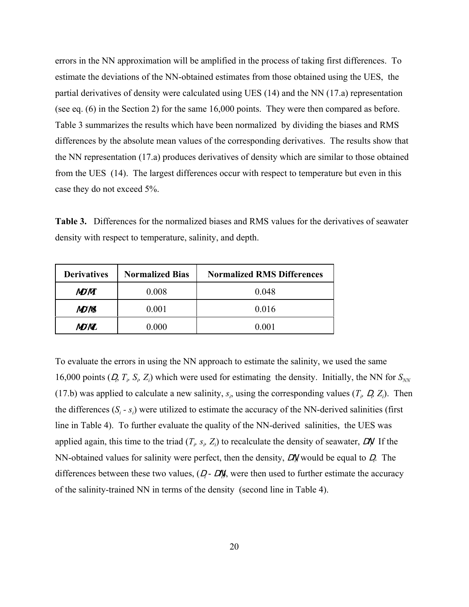errors in the NN approximation will be amplified in the process of taking first differences. To estimate the deviations of the NN-obtained estimates from those obtained using the UES, the partial derivatives of density were calculated using UES (14) and the NN (17.a) representation (see eq. (6) in the Section 2) for the same 16,000 points. They were then compared as before. Table 3 summarizes the results which have been normalized by dividing the biases and RMS differences by the absolute mean values of the corresponding derivatives. The results show that the NN representation (17.a) produces derivatives of density which are similar to those obtained from the UES (14). The largest differences occur with respect to temperature but even in this case they do not exceed 5%.

**Table 3.** Differences for the normalized biases and RMS values for the derivatives of seawater density with respect to temperature, salinity, and depth.

| <b>Derivatives</b> | <b>Normalized Bias</b> | <b>Normalized RMS Differences</b> |
|--------------------|------------------------|-----------------------------------|
| ND/NT              | 0.008                  | 0.048                             |
| <b>MDY NSI</b>     | 0.001                  | 0.016                             |
| ND/NZ.             | 0.000                  | 0.001                             |

To evaluate the errors in using the NN approach to estimate the salinity, we used the same 16,000 points ( $D_i$ ,  $T_i$ ,  $S_i$ ,  $Z_i$ ) which were used for estimating the density. Initially, the NN for  $S_{NN}$ (17.b) was applied to calculate a new salinity,  $s_i$ , using the corresponding values  $(T_i, D_i, Z_i)$ . Then the differences  $(S_i - s_i)$  were utilized to estimate the accuracy of the NN-derived salinities (first line in Table 4). To further evaluate the quality of the NN-derived salinities, the UES was applied again, this time to the triad  $(T_i, s_i, Z_i)$  to recalculate the density of seawater,  $D\gamma$  If the NN-obtained values for salinity were perfect, then the density, *DN*<sub>*i*</sub> would be equal to *D<sub>i</sub>*. The differences between these two values,  $(D_i - D/N)$ , were then used to further estimate the accuracy of the salinity-trained NN in terms of the density (second line in Table 4).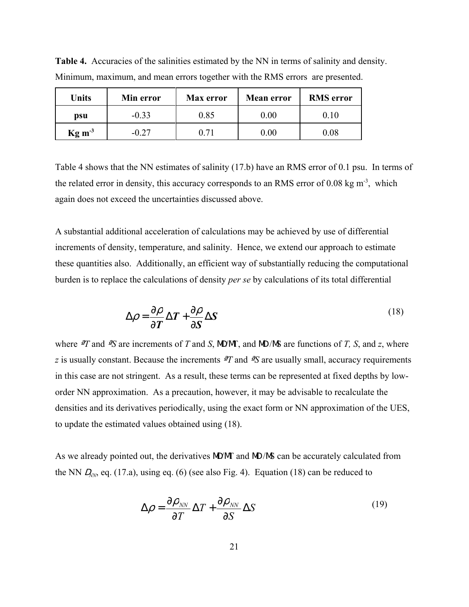| Units                         | Min error | Max error | <b>Mean error</b> | <b>RMS</b> error |
|-------------------------------|-----------|-----------|-------------------|------------------|
| psu                           | $-0.33$   | 0.85      | 0.00              | 0.10             |
| $\mathrm{Kg} \mathrm{m}^{-3}$ | $-0.27$   |           | 0.00              | $0.08\,$         |

**Table 4.** Accuracies of the salinities estimated by the NN in terms of salinity and density. Minimum, maximum, and mean errors together with the RMS errors are presented.

Table 4 shows that the NN estimates of salinity (17.b) have an RMS error of 0.1 psu. In terms of the related error in density, this accuracy corresponds to an RMS error of 0.08 kg  $m<sup>3</sup>$ , which again does not exceed the uncertainties discussed above.

A substantial additional acceleration of calculations may be achieved by use of differential increments of density, temperature, and salinity. Hence, we extend our approach to estimate these quantities also. Additionally, an efficient way of substantially reducing the computational burden is to replace the calculations of density *per se* by calculations of its total differential

$$
\Delta \rho = \frac{\partial \rho}{\partial T} \Delta T + \frac{\partial \rho}{\partial S} \Delta S \tag{18}
$$

where  ${}^{\alpha}T$  and  ${}^{\alpha}S$  are increments of *T* and *S*, MD/MT, and MD/MS are functions of *T*, *S*, and *z*, where *z* is usually constant. Because the increments ª*T* and ª*S* are usually small, accuracy requirements in this case are not stringent. As a result, these terms can be represented at fixed depths by loworder NN approximation. As a precaution, however, it may be advisable to recalculate the densities and its derivatives periodically, using the exact form or NN approximation of the UES, to update the estimated values obtained using (18).

As we already pointed out, the derivatives  $MD/M$  and  $MD/NS$  can be accurately calculated from the NN  $D_{NN}$ , eq. (17.a), using eq. (6) (see also Fig. 4). Equation (18) can be reduced to

$$
\Delta \rho = \frac{\partial \rho_{NN}}{\partial T} \Delta T + \frac{\partial \rho_{NN}}{\partial S} \Delta S \tag{19}
$$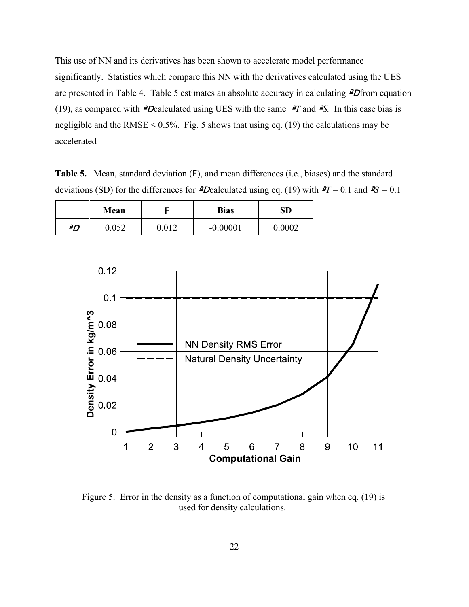This use of NN and its derivatives has been shown to accelerate model performance significantly. Statistics which compare this NN with the derivatives calculated using the UES are presented in Table 4. Table 5 estimates an absolute accuracy in calculating *a*D from equation (19), as compared with  $\alpha D$  calculated using UES with the same  $\alpha T$  and  $\alpha S$ . In this case bias is negligible and the RMSE  $\leq$  0.5%. Fig. 5 shows that using eq. (19) the calculations may be accelerated

**Table 5.** Mean, standard deviation (F), and mean differences (i.e., biases) and the standard deviations (SD) for the differences for *a* D calculated using eq. (19) with  $aT = 0.1$  and  $aS = 0.1$ 

|         | Mean  |       | <b>Bias</b> | SD     |
|---------|-------|-------|-------------|--------|
| $a_{D}$ | 0.052 | ገ በ12 | $-0.00001$  | 0.0002 |



Figure 5. Error in the density as a function of computational gain when eq. (19) is used for density calculations.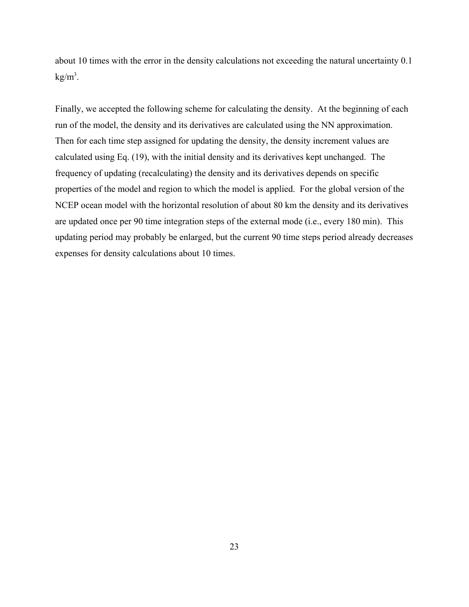about 10 times with the error in the density calculations not exceeding the natural uncertainty 0.1  $kg/m<sup>3</sup>$ .

Finally, we accepted the following scheme for calculating the density. At the beginning of each run of the model, the density and its derivatives are calculated using the NN approximation. Then for each time step assigned for updating the density, the density increment values are calculated using Eq. (19), with the initial density and its derivatives kept unchanged. The frequency of updating (recalculating) the density and its derivatives depends on specific properties of the model and region to which the model is applied. For the global version of the NCEP ocean model with the horizontal resolution of about 80 km the density and its derivatives are updated once per 90 time integration steps of the external mode (i.e., every 180 min). This updating period may probably be enlarged, but the current 90 time steps period already decreases expenses for density calculations about 10 times.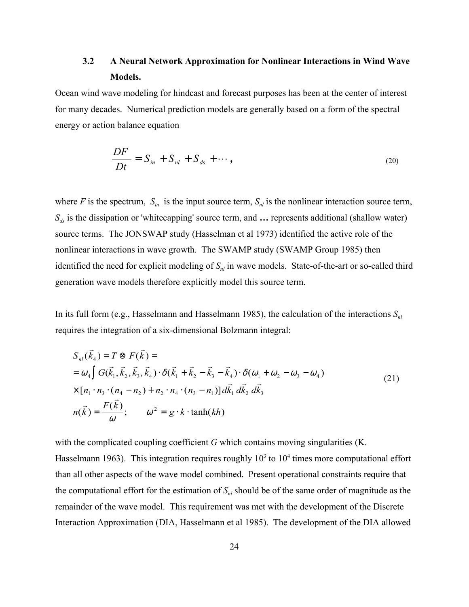# **3.2 A Neural Network Approximation for Nonlinear Interactions in Wind Wave Models.**

Ocean wind wave modeling for hindcast and forecast purposes has been at the center of interest for many decades. Numerical prediction models are generally based on a form of the spectral energy or action balance equation

$$
\frac{DF}{Dt} = S_{in} + S_{nl} + S_{ds} + \cdots,
$$
\n(20)

where *F* is the spectrum,  $S_{in}$  is the input source term,  $S_{ni}$  is the nonlinear interaction source term, *Sds* is the dissipation or 'whitecapping' source term, and **…** represents additional (shallow water) source terms. The JONSWAP study (Hasselman et al 1973) identified the active role of the nonlinear interactions in wave growth. The SWAMP study (SWAMP Group 1985) then identified the need for explicit modeling of  $S<sub>n</sub>$  in wave models. State-of-the-art or so-called third generation wave models therefore explicitly model this source term.

In its full form (e.g., Hasselmann and Hasselmann 1985), the calculation of the interactions  $S_{nl}$ requires the integration of a six-dimensional Bolzmann integral:

$$
S_{nl}(\vec{k}_4) = T \otimes F(\vec{k}) =
$$
  
\n
$$
= \omega_4 \int G(\vec{k}_1, \vec{k}_2, \vec{k}_3, \vec{k}_4) \cdot \delta(\vec{k}_1 + \vec{k}_2 - \vec{k}_3 - \vec{k}_4) \cdot \delta(\omega_1 + \omega_2 - \omega_3 - \omega_4)
$$
  
\n
$$
\times [n_1 \cdot n_3 \cdot (n_4 - n_2) + n_2 \cdot n_4 \cdot (n_3 - n_1)] d\vec{k}_1 d\vec{k}_2 d\vec{k}_3
$$
  
\n
$$
n(\vec{k}) = \frac{F(\vec{k})}{\omega}; \qquad \omega^2 = g \cdot k \cdot \tanh(kh)
$$
 (21)

with the complicated coupling coefficient *G* which contains moving singularities (K. Hasselmann 1963). This integration requires roughly  $10<sup>3</sup>$  to  $10<sup>4</sup>$  times more computational effort than all other aspects of the wave model combined. Present operational constraints require that the computational effort for the estimation of  $S_n$  should be of the same order of magnitude as the remainder of the wave model. This requirement was met with the development of the Discrete Interaction Approximation (DIA, Hasselmann et al 1985). The development of the DIA allowed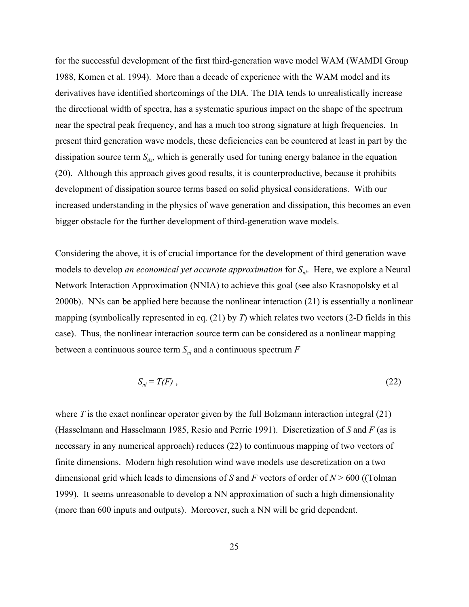for the successful development of the first third-generation wave model WAM (WAMDI Group 1988, Komen et al. 1994). More than a decade of experience with the WAM model and its derivatives have identified shortcomings of the DIA. The DIA tends to unrealistically increase the directional width of spectra, has a systematic spurious impact on the shape of the spectrum near the spectral peak frequency, and has a much too strong signature at high frequencies. In present third generation wave models, these deficiencies can be countered at least in part by the dissipation source term  $S_{ds}$ , which is generally used for tuning energy balance in the equation (20). Although this approach gives good results, it is counterproductive, because it prohibits development of dissipation source terms based on solid physical considerations. With our increased understanding in the physics of wave generation and dissipation, this becomes an even bigger obstacle for the further development of third-generation wave models.

Considering the above, it is of crucial importance for the development of third generation wave models to develop *an economical yet accurate approximation* for  $S_{nl}$ . Here, we explore a Neural Network Interaction Approximation (NNIA) to achieve this goal (see also Krasnopolsky et al 2000b). NNs can be applied here because the nonlinear interaction (21) is essentially a nonlinear mapping (symbolically represented in eq. (21) by *T*) which relates two vectors (2-D fields in this case). Thus, the nonlinear interaction source term can be considered as a nonlinear mapping between a continuous source term  $S<sub>nl</sub>$  and a continuous spectrum  $F$ 

$$
S_{nl} = T(F) \tag{22}
$$

where *T* is the exact nonlinear operator given by the full Bolzmann interaction integral (21) (Hasselmann and Hasselmann 1985, Resio and Perrie 1991). Discretization of *S* and *F* (as is necessary in any numerical approach) reduces (22) to continuous mapping of two vectors of finite dimensions. Modern high resolution wind wave models use descretization on a two dimensional grid which leads to dimensions of *S* and *F* vectors of order of *N* > 600 ((Tolman 1999). It seems unreasonable to develop a NN approximation of such a high dimensionality (more than 600 inputs and outputs). Moreover, such a NN will be grid dependent.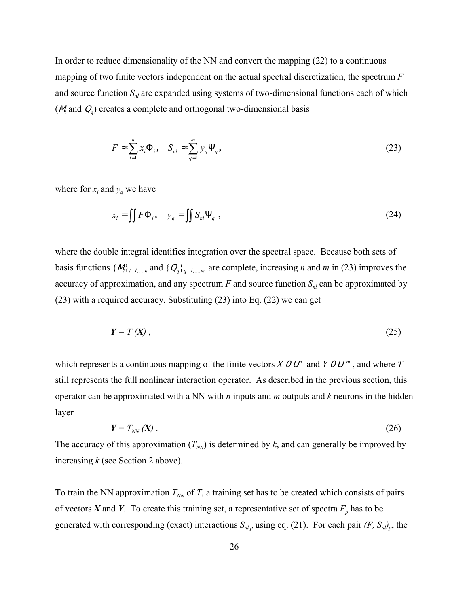In order to reduce dimensionality of the NN and convert the mapping (22) to a continuous mapping of two finite vectors independent on the actual spectral discretization, the spectrum *F* and source function  $S_{nl}$  are expanded using systems of two-dimensional functions each of which ( $M$  and  $Q_q$ ) creates a complete and orthogonal two-dimensional basis

$$
F \approx \sum_{i=1}^{n} x_i \Phi_i, \quad S_{nl} \approx \sum_{q=1}^{m} y_q \Psi_q,
$$
 (23)

where for  $x_i$  and  $y_q$  we have

$$
x_i = \iint F\Phi_i, \quad y_q = \iint S_{nl} \Psi_q \tag{24}
$$

where the double integral identifies integration over the spectral space. Because both sets of basis functions  $\{M\}_{i=1,\dots,n}$  and  $\{Q_q\}_{q=1,\dots,m}$  are complete, increasing *n* and *m* in (23) improves the accuracy of approximation, and any spectrum  $F$  and source function  $S<sub>n</sub>$  can be approximated by (23) with a required accuracy. Substituting (23) into Eq. (22) we can get

$$
Y = T(X), \tag{25}
$$

which represents a continuous mapping of the finite vectors  $X O U^n$  and  $Y O U^m$ , and where *T* still represents the full nonlinear interaction operator. As described in the previous section, this operator can be approximated with a NN with *n* inputs and *m* outputs and *k* neurons in the hidden layer

$$
Y = T_{NN}(X) \tag{26}
$$

The accuracy of this approximation  $(T_{NN})$  is determined by *k*, and can generally be improved by increasing *k* (see Section 2 above).

To train the NN approximation  $T_{NN}$  of *T*, a training set has to be created which consists of pairs of vectors *X* and *Y*. To create this training set, a representative set of spectra  $F_p$  has to be generated with corresponding (exact) interactions  $S_{nl,p}$  using eq. (21). For each pair *(F, S<sub>nl</sub>)<sub>p</sub>*, the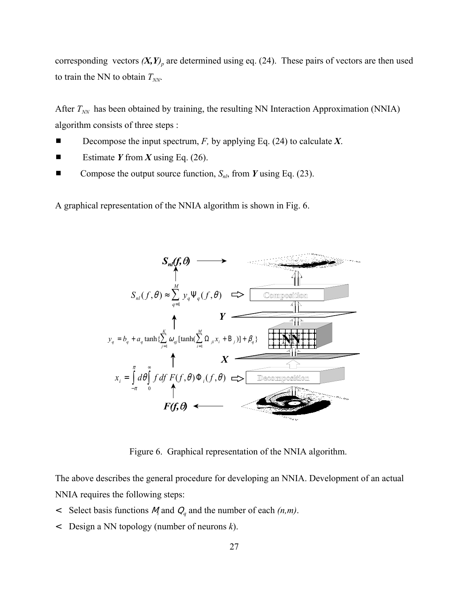corresponding vectors  $(X, Y)$ <sub>p</sub> are determined using eq. (24). These pairs of vectors are then used to train the NN to obtain  $T_{NN}$ .

After  $T_{NN}$  has been obtained by training, the resulting NN Interaction Approximation (NNIA) algorithm consists of three steps :

- Decompose the input spectrum,  $F$ , by applying Eq. (24) to calculate  $X$ .
- Estimate *Y* from *X* using Eq. (26).
- **Example 3** Compose the output source function,  $S_{nb}$  from *Y* using Eq. (23).

A graphical representation of the NNIA algorithm is shown in Fig. 6.



Figure 6. Graphical representation of the NNIA algorithm.

The above describes the general procedure for developing an NNIA. Development of an actual NNIA requires the following steps:

- $\leq$  Select basis functions *M* and *Q<sub>q</sub>* and the number of each *(n,m)*.
- < Design a NN topology (number of neurons *k*).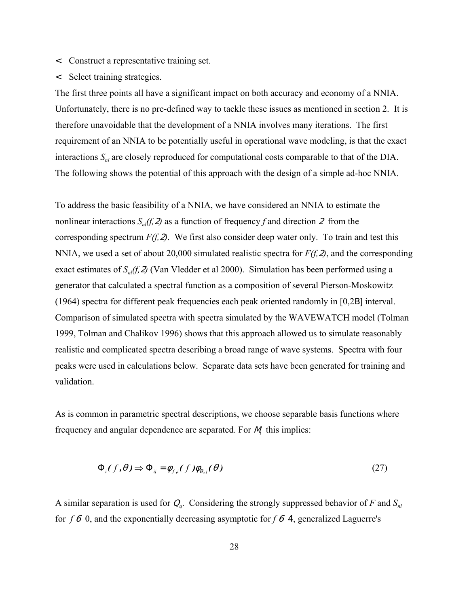- < Construct a representative training set.
- < Select training strategies.

The first three points all have a significant impact on both accuracy and economy of a NNIA. Unfortunately, there is no pre-defined way to tackle these issues as mentioned in section 2. It is therefore unavoidable that the development of a NNIA involves many iterations. The first requirement of an NNIA to be potentially useful in operational wave modeling, is that the exact interactions  $S<sub>nl</sub>$  are closely reproduced for computational costs comparable to that of the DIA. The following shows the potential of this approach with the design of a simple ad-hoc NNIA.

To address the basic feasibility of a NNIA, we have considered an NNIA to estimate the nonlinear interactions  $S<sub>n</sub>/(f, 2)$  as a function of frequency f and direction 2 from the corresponding spectrum  $F(f, 2)$ . We first also consider deep water only. To train and test this NNIA, we used a set of about 20,000 simulated realistic spectra for *F(f,*2*)*, and the corresponding exact estimates of  $S<sub>n</sub>$ (*f, 2*) (Van Vledder et al 2000). Simulation has been performed using a generator that calculated a spectral function as a composition of several Pierson-Moskowitz (1964) spectra for different peak frequencies each peak oriented randomly in [0,2B] interval. Comparison of simulated spectra with spectra simulated by the WAVEWATCH model (Tolman 1999, Tolman and Chalikov 1996) shows that this approach allowed us to simulate reasonably realistic and complicated spectra describing a broad range of wave systems. Spectra with four peaks were used in calculations below. Separate data sets have been generated for training and validation.

As is common in parametric spectral descriptions, we choose separable basis functions where frequency and angular dependence are separated. For M this implies:

$$
\Phi_i(f,\theta) \Rightarrow \Phi_{ij} = \phi_{f,i}(f)\phi_{\theta,j}(\theta)
$$
\n(27)

A similar separation is used for  $Q_q$ . Considering the strongly suppressed behavior of *F* and  $S_{nl}$ for *f* 6 0, and the exponentially decreasing asymptotic for *f* <sup>6</sup> 4, generalized Laguerre's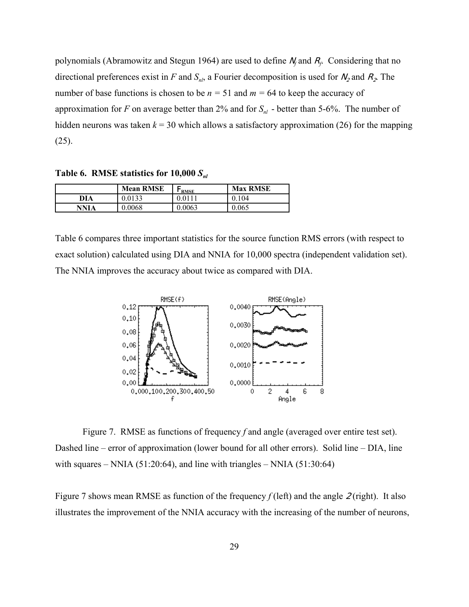polynomials (Abramowitz and Stegun 1964) are used to define  $N_f$  and  $R_f$ . Considering that no directional preferences exist in *F* and  $S<sub>n</sub>$ , a Fourier decomposition is used for  $N<sub>2</sub>$  and  $R<sub>2</sub>$ . The number of base functions is chosen to be *n =* 51 and *m =* 64 to keep the accuracy of approximation for *F* on average better than 2% and for  $S<sub>nl</sub>$  - better than 5-6%. The number of hidden neurons was taken  $k = 30$  which allows a satisfactory approximation (26) for the mapping (25).

**Table 6. RMSE statistics for 10,000**  $S_{nl}$ 

|      | <b>Mean RMSE</b> | <b>RMSE</b> | <b>Max RMSE</b> |
|------|------------------|-------------|-----------------|
| DIA  |                  | 0.0111      | 0.104           |
| NNIA | .0068            | 0.0063      | 0.065           |

Table 6 compares three important statistics for the source function RMS errors (with respect to exact solution) calculated using DIA and NNIA for 10,000 spectra (independent validation set). The NNIA improves the accuracy about twice as compared with DIA.



Figure 7. RMSE as functions of frequency f and angle (averaged over entire test set). Dashed line – error of approximation (lower bound for all other errors). Solid line – DIA, line with squares – NNIA (51:20:64), and line with triangles – NNIA (51:30:64)

Figure 7 shows mean RMSE as function of the frequency  $f$  (left) and the angle  $2$  (right). It also illustrates the improvement of the NNIA accuracy with the increasing of the number of neurons,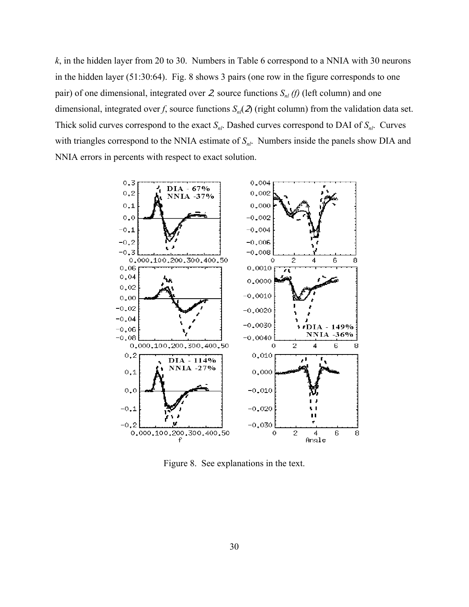*k*, in the hidden layer from 20 to 30. Numbers in Table 6 correspond to a NNIA with 30 neurons in the hidden layer (51:30:64). Fig. 8 shows 3 pairs (one row in the figure corresponds to one pair) of one dimensional, integrated over 2, source functions  $S_{nl}$  (f) (left column) and one dimensional, integrated over *f*, source functions  $S_n(2)$  (right column) from the validation data set. Thick solid curves correspond to the exact  $S_{nl}$ . Dashed curves correspond to DAI of  $S_{nl}$ . Curves with triangles correspond to the NNIA estimate of  $S_{nl}$ . Numbers inside the panels show DIA and NNIA errors in percents with respect to exact solution.



Figure 8. See explanations in the text.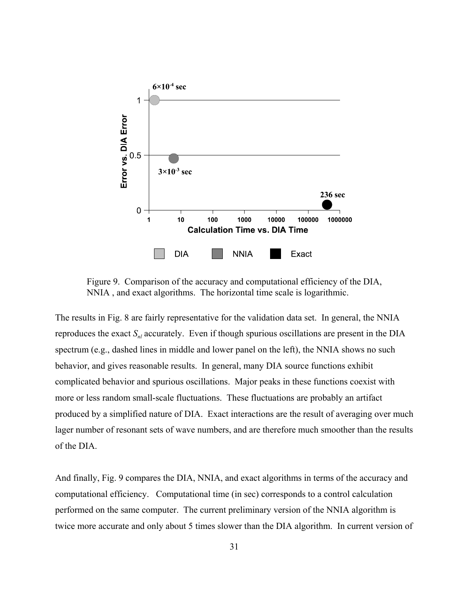

Figure 9. Comparison of the accuracy and computational efficiency of the DIA, NNIA , and exact algorithms. The horizontal time scale is logarithmic.

The results in Fig. 8 are fairly representative for the validation data set. In general, the NNIA reproduces the exact  $S<sub>n</sub>$  accurately. Even if though spurious oscillations are present in the DIA spectrum (e.g., dashed lines in middle and lower panel on the left), the NNIA shows no such behavior, and gives reasonable results. In general, many DIA source functions exhibit complicated behavior and spurious oscillations. Major peaks in these functions coexist with more or less random small-scale fluctuations. These fluctuations are probably an artifact produced by a simplified nature of DIA. Exact interactions are the result of averaging over much lager number of resonant sets of wave numbers, and are therefore much smoother than the results of the DIA.

And finally, Fig. 9 compares the DIA, NNIA, and exact algorithms in terms of the accuracy and computational efficiency. Computational time (in sec) corresponds to a control calculation performed on the same computer. The current preliminary version of the NNIA algorithm is twice more accurate and only about 5 times slower than the DIA algorithm. In current version of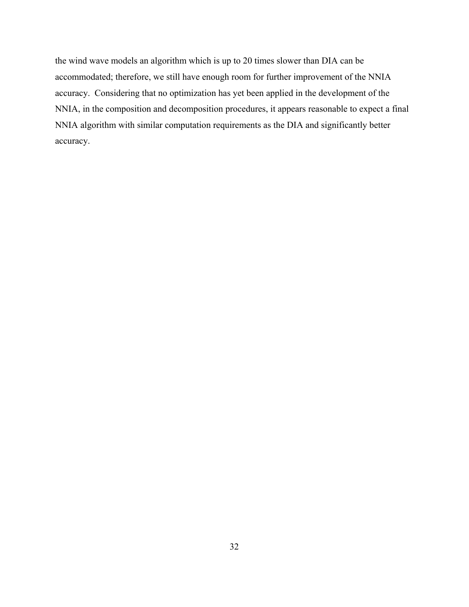the wind wave models an algorithm which is up to 20 times slower than DIA can be accommodated; therefore, we still have enough room for further improvement of the NNIA accuracy. Considering that no optimization has yet been applied in the development of the NNIA, in the composition and decomposition procedures, it appears reasonable to expect a final NNIA algorithm with similar computation requirements as the DIA and significantly better accuracy.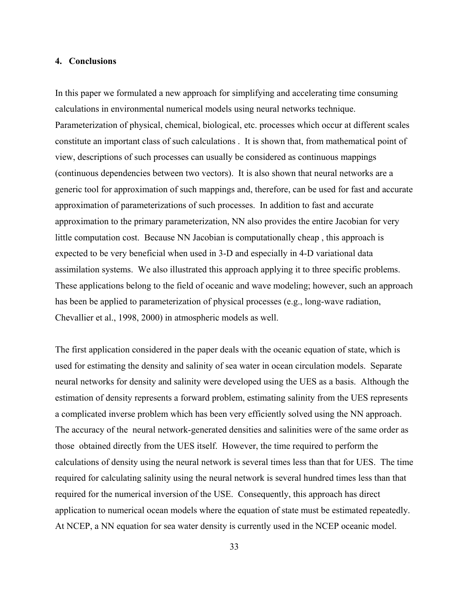#### **4. Conclusions**

In this paper we formulated a new approach for simplifying and accelerating time consuming calculations in environmental numerical models using neural networks technique. Parameterization of physical, chemical, biological, etc. processes which occur at different scales constitute an important class of such calculations . It is shown that, from mathematical point of view, descriptions of such processes can usually be considered as continuous mappings (continuous dependencies between two vectors). It is also shown that neural networks are a generic tool for approximation of such mappings and, therefore, can be used for fast and accurate approximation of parameterizations of such processes. In addition to fast and accurate approximation to the primary parameterization, NN also provides the entire Jacobian for very little computation cost. Because NN Jacobian is computationally cheap , this approach is expected to be very beneficial when used in 3-D and especially in 4-D variational data assimilation systems. We also illustrated this approach applying it to three specific problems. These applications belong to the field of oceanic and wave modeling; however, such an approach has been be applied to parameterization of physical processes (e.g., long-wave radiation, Chevallier et al., 1998, 2000) in atmospheric models as well.

The first application considered in the paper deals with the oceanic equation of state, which is used for estimating the density and salinity of sea water in ocean circulation models. Separate neural networks for density and salinity were developed using the UES as a basis. Although the estimation of density represents a forward problem, estimating salinity from the UES represents a complicated inverse problem which has been very efficiently solved using the NN approach. The accuracy of the neural network-generated densities and salinities were of the same order as those obtained directly from the UES itself. However, the time required to perform the calculations of density using the neural network is several times less than that for UES. The time required for calculating salinity using the neural network is several hundred times less than that required for the numerical inversion of the USE. Consequently, this approach has direct application to numerical ocean models where the equation of state must be estimated repeatedly. At NCEP, a NN equation for sea water density is currently used in the NCEP oceanic model.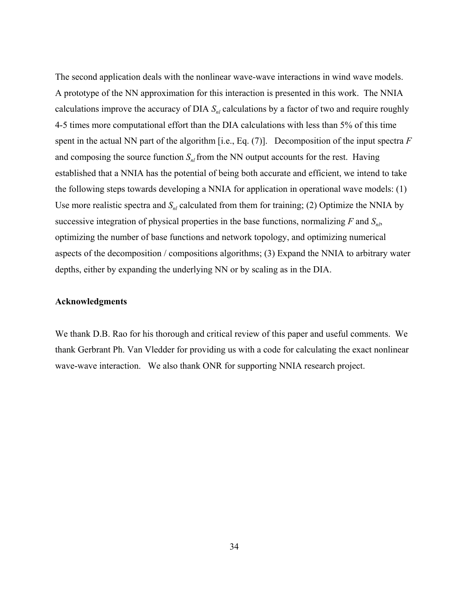The second application deals with the nonlinear wave-wave interactions in wind wave models. A prototype of the NN approximation for this interaction is presented in this work. The NNIA calculations improve the accuracy of DIA  $S<sub>nl</sub>$  calculations by a factor of two and require roughly 4-5 times more computational effort than the DIA calculations with less than 5% of this time spent in the actual NN part of the algorithm [i.e., Eq. (7)]. Decomposition of the input spectra *F* and composing the source function  $S<sub>nl</sub>$  from the NN output accounts for the rest. Having established that a NNIA has the potential of being both accurate and efficient, we intend to take the following steps towards developing a NNIA for application in operational wave models: (1) Use more realistic spectra and  $S<sub>nl</sub>$  calculated from them for training; (2) Optimize the NNIA by successive integration of physical properties in the base functions, normalizing  $F$  and  $S<sub>nl</sub>$ , optimizing the number of base functions and network topology, and optimizing numerical aspects of the decomposition / compositions algorithms; (3) Expand the NNIA to arbitrary water depths, either by expanding the underlying NN or by scaling as in the DIA.

#### **Acknowledgments**

We thank D.B. Rao for his thorough and critical review of this paper and useful comments. We thank Gerbrant Ph. Van Vledder for providing us with a code for calculating the exact nonlinear wave-wave interaction. We also thank ONR for supporting NNIA research project.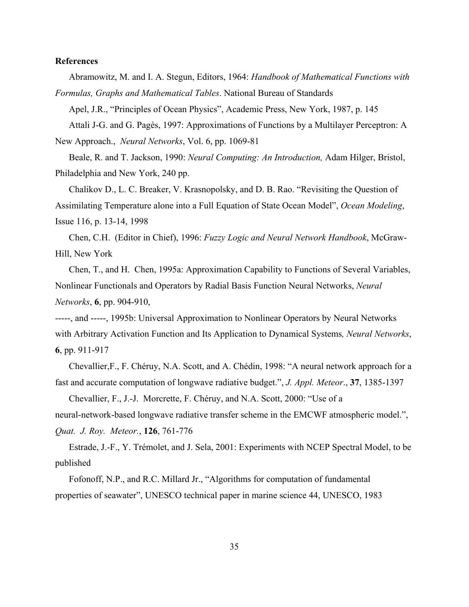#### **References**

Abramowitz, M. and I. A. Stegun, Editors, 1964: *Handbook of Mathematical Functions with Formulas, Graphs and Mathematical Tables*. National Bureau of Standards

Apel, J.R., "Principles of Ocean Physics", Academic Press, New York, 1987, p. 145 Attali J-G. and G. Pagès, 1997: Approximations of Functions by a Multilayer Perceptron: A New Approach., *Neural Networks*, Vol. 6, pp. 1069-81

Beale, R. and T. Jackson, 1990: *Neural Computing: An Introduction,* Adam Hilger, Bristol, Philadelphia and New York, 240 pp.

Chalikov D., L. C. Breaker, V. Krasnopolsky, and D. B. Rao. "Revisiting the Question of Assimilating Temperature alone into a Full Equation of State Ocean Model", *Ocean Modeling*, Issue 116, p. 13-14, 1998

Chen, C.H. (Editor in Chief), 1996: *Fuzzy Logic and Neural Network Handbook*, McGraw-Hill, New York

Chen, T., and H. Chen, 1995a: Approximation Capability to Functions of Several Variables, Nonlinear Functionals and Operators by Radial Basis Function Neural Networks, *Neural Networks*, **6**, pp. 904-910,

-----, and -----, 1995b: Universal Approximation to Nonlinear Operators by Neural Networks with Arbitrary Activation Function and Its Application to Dynamical Systems*, Neural Networks*, **6**, pp. 911-917

Chevallier,F., F. Chéruy, N.A. Scott, and A. Chédin, 1998: "A neural network approach for a fast and accurate computation of longwave radiative budget.", *J. Appl. Meteor*., **37**, 1385-1397

Chevallier, F., J.-J. Morcrette, F. Chéruy, and N.A. Scott, 2000: "Use of a neural-network-based longwave radiative transfer scheme in the EMCWF atmospheric model.", *Quat. J. Roy. Meteor.*, **126**, 761-776

Estrade, J.-F., Y. Trémolet, and J. Sela, 2001: Experiments with NCEP Spectral Model, to be published

Fofonoff, N.P., and R.C. Millard Jr., "Algorithms for computation of fundamental properties of seawater", UNESCO technical paper in marine science 44, UNESCO, 1983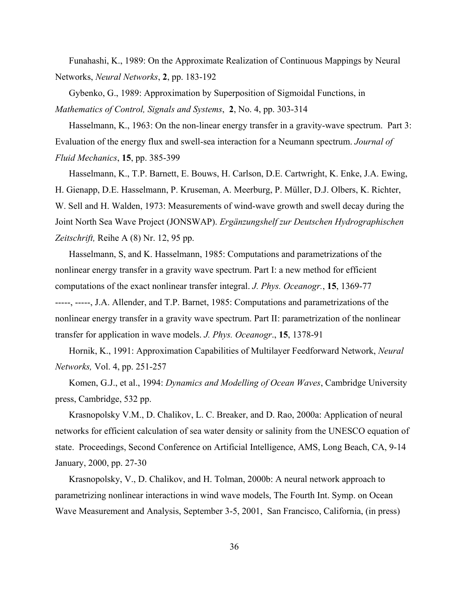Funahashi, K., 1989: On the Approximate Realization of Continuous Mappings by Neural Networks, *Neural Networks*, **2**, pp. 183-192

Gybenko, G., 1989: Approximation by Superposition of Sigmoidal Functions, in *Mathematics of Control, Signals and Systems*, **2**, No. 4, pp. 303-314

Hasselmann, K., 1963: On the non-linear energy transfer in a gravity-wave spectrum. Part 3: Evaluation of the energy flux and swell-sea interaction for a Neumann spectrum. *Journal of Fluid Mechanics*, **15**, pp. 385-399

Hasselmann, K., T.P. Barnett, E. Bouws, H. Carlson, D.E. Cartwright, K. Enke, J.A. Ewing, H. Gienapp, D.E. Hasselmann, P. Kruseman, A. Meerburg, P. Müller, D.J. Olbers, K. Richter, W. Sell and H. Walden, 1973: Measurements of wind-wave growth and swell decay during the Joint North Sea Wave Project (JONSWAP). *Ergänzungshelf zur Deutschen Hydrographischen Zeitschrift,* Reihe A (8) Nr. 12, 95 pp.

Hasselmann, S, and K. Hasselmann, 1985: Computations and parametrizations of the nonlinear energy transfer in a gravity wave spectrum. Part I: a new method for efficient computations of the exact nonlinear transfer integral. *J. Phys. Oceanogr.*, **15**, 1369-77 -----, -----, J.A. Allender, and T.P. Barnet, 1985: Computations and parametrizations of the nonlinear energy transfer in a gravity wave spectrum. Part II: parametrization of the nonlinear transfer for application in wave models. *J. Phys. Oceanogr*., **15**, 1378-91

Hornik, K., 1991: Approximation Capabilities of Multilayer Feedforward Network, *Neural Networks,* Vol. 4, pp. 251-257

Komen, G.J., et al., 1994: *Dynamics and Modelling of Ocean Waves*, Cambridge University press, Cambridge, 532 pp.

Krasnopolsky V.M., D. Chalikov, L. C. Breaker, and D. Rao, 2000a: Application of neural networks for efficient calculation of sea water density or salinity from the UNESCO equation of state. Proceedings, Second Conference on Artificial Intelligence, AMS, Long Beach, CA, 9-14 January, 2000, pp. 27-30

Krasnopolsky, V., D. Chalikov, and H. Tolman, 2000b: A neural network approach to parametrizing nonlinear interactions in wind wave models, The Fourth Int. Symp. on Ocean Wave Measurement and Analysis, September 3-5, 2001, San Francisco, California, (in press)